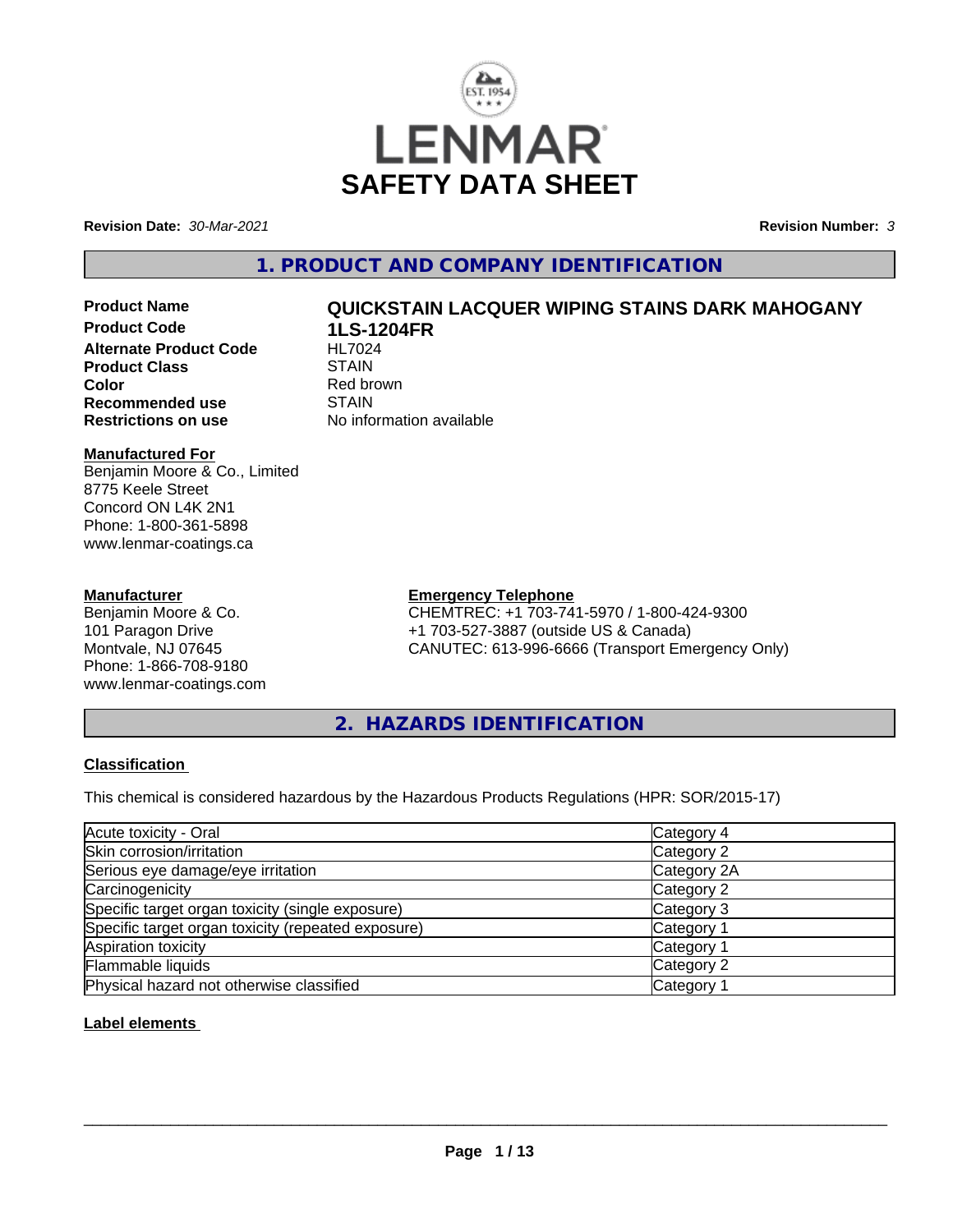

**Revision Date:** *30-Mar-2021* **Revision Number:** *3*

#### **1. PRODUCT AND COMPANY IDENTIFICATION**

- 
- **Product Code 1LS-1204FR Alternate Product Code HL7024**<br>Product Class STAIN **Product Class Color**<br> **Recommended use**<br> **COLORER STAIN Recommended use**<br>Restrictions on use

# **Product Name QUICKSTAIN LACQUER WIPING STAINS DARK MAHOGANY**

**No information available** 

#### **Manufactured For**

Benjamin Moore & Co., Limited 8775 Keele Street Concord ON L4K 2N1 Phone: 1-800-361-5898 www.lenmar-coatings.ca

#### **Manufacturer**

Benjamin Moore & Co. 101 Paragon Drive Montvale, NJ 07645 Phone: 1-866-708-9180 www.lenmar-coatings.com

### **Emergency Telephone**

CHEMTREC: +1 703-741-5970 / 1-800-424-9300 +1 703-527-3887 (outside US & Canada) CANUTEC: 613-996-6666 (Transport Emergency Only)

**2. HAZARDS IDENTIFICATION**

#### **Classification**

This chemical is considered hazardous by the Hazardous Products Regulations (HPR: SOR/2015-17)

| Acute toxicity - Oral                              | Category 4            |  |
|----------------------------------------------------|-----------------------|--|
| Skin corrosion/irritation                          | Category 2            |  |
| Serious eye damage/eye irritation                  | Category 2A           |  |
| Carcinogenicity                                    | Category 2            |  |
| Specific target organ toxicity (single exposure)   | Category 3            |  |
| Specific target organ toxicity (repeated exposure) | Category 1            |  |
| Aspiration toxicity                                | Category '            |  |
| Flammable liquids                                  | Category 2            |  |
| Physical hazard not otherwise classified           | Category <sup>2</sup> |  |

#### **Label elements**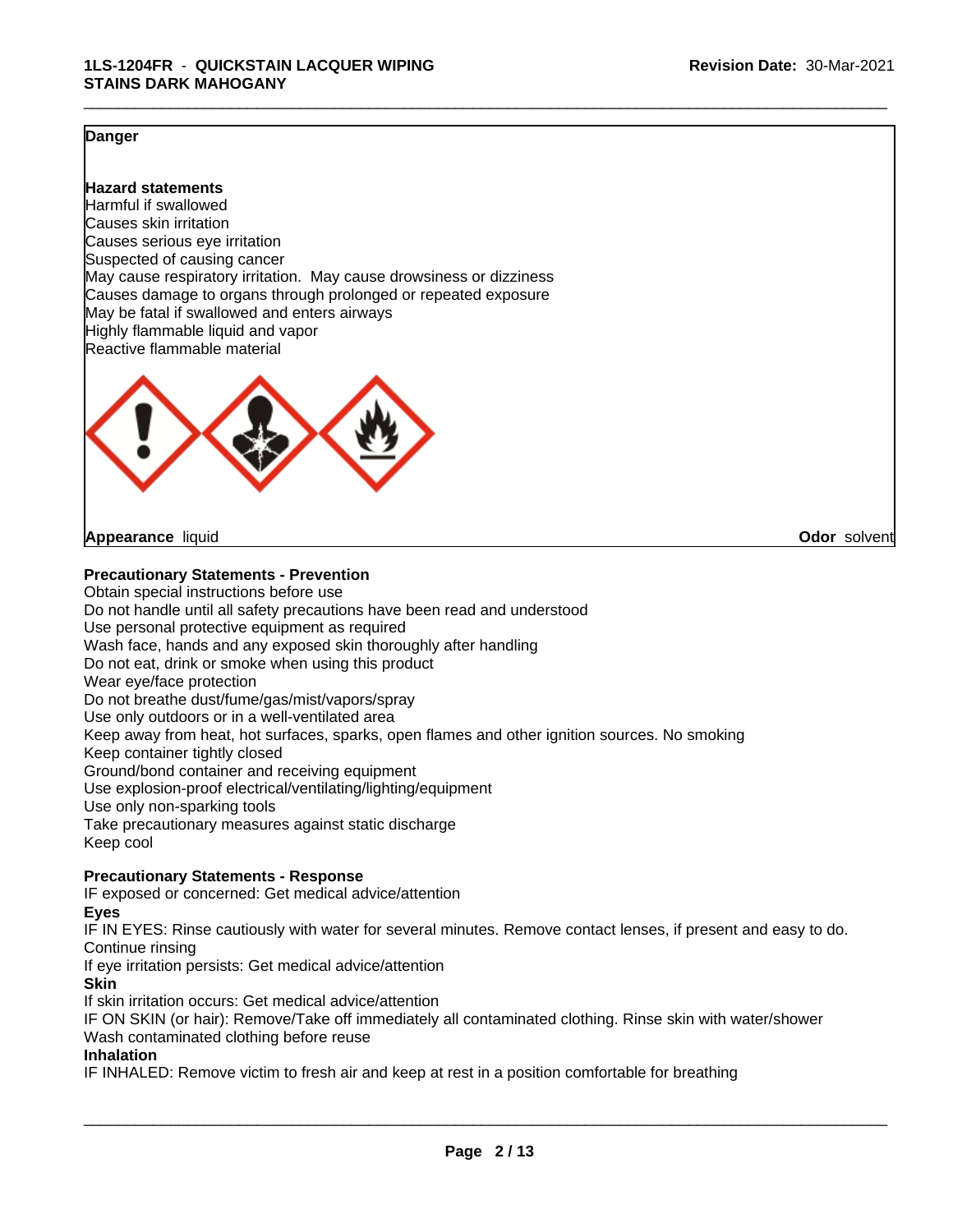#### **Danger**

#### **Hazard statements**

Harmful if swallowed Causes skin irritation Causes serious eye irritation Suspected of causing cancer May cause respiratory irritation. May cause drowsiness or dizziness Causes damage to organs through prolonged or repeated exposure May be fatal if swallowed and enters airways Highly flammable liquid and vapor Reactive flammable material



#### **Appearance** liquid **Odor** solvent

#### **Precautionary Statements - Prevention**

Obtain special instructions before use Do not handle until all safety precautions have been read and understood Use personal protective equipment as required Wash face, hands and any exposed skin thoroughly after handling Do not eat, drink or smoke when using this product Wear eye/face protection Do not breathe dust/fume/gas/mist/vapors/spray Use only outdoors or in a well-ventilated area Keep away from heat, hot surfaces, sparks, open flames and other ignition sources. No smoking Keep container tightly closed Ground/bond container and receiving equipment Use explosion-proof electrical/ventilating/lighting/equipment Use only non-sparking tools Take precautionary measures against static discharge Keep cool

#### **Precautionary Statements - Response**

IF exposed or concerned: Get medical advice/attention

**Eyes**

IF IN EYES: Rinse cautiously with water for several minutes. Remove contact lenses, if present and easy to do. Continue rinsing

If eye irritation persists: Get medical advice/attention

**Skin**

If skin irritation occurs: Get medical advice/attention

IF ON SKIN (or hair): Remove/Take off immediately all contaminated clothing. Rinse skin with water/shower Wash contaminated clothing before reuse

#### **Inhalation**

IF INHALED: Remove victim to fresh air and keep at rest in a position comfortable for breathing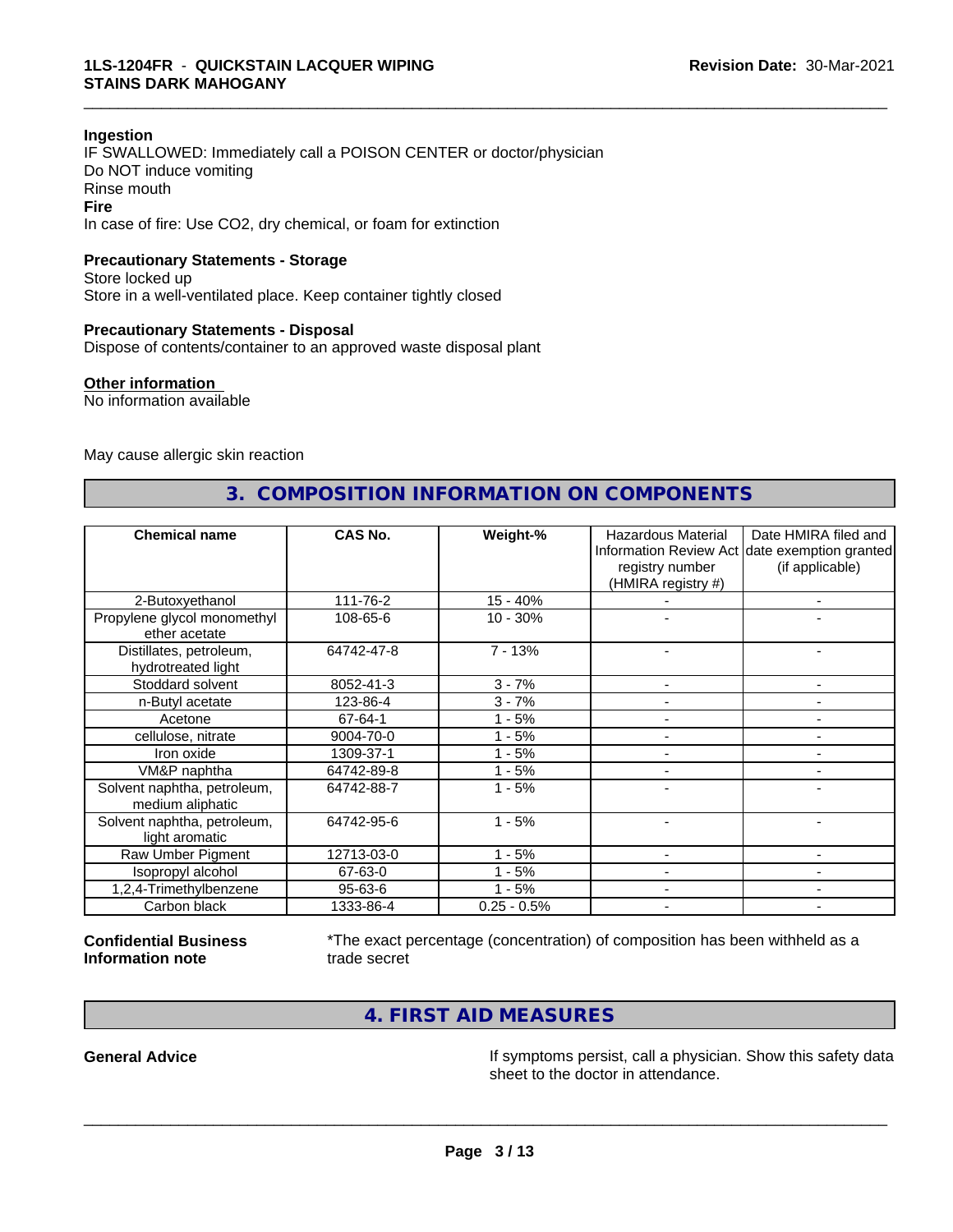#### **Ingestion**

IF SWALLOWED: Immediately call a POISON CENTER or doctor/physician Do NOT induce vomiting Rinse mouth **Fire** In case of fire: Use CO2, dry chemical, or foam for extinction

#### **Precautionary Statements - Storage**

Store locked up Store in a well-ventilated place. Keep container tightly closed

#### **Precautionary Statements - Disposal**

Dispose of contents/container to an approved waste disposal plant

#### **Other information**

No information available

May cause allergic skin reaction

#### **3. COMPOSITION INFORMATION ON COMPONENTS**

\_\_\_\_\_\_\_\_\_\_\_\_\_\_\_\_\_\_\_\_\_\_\_\_\_\_\_\_\_\_\_\_\_\_\_\_\_\_\_\_\_\_\_\_\_\_\_\_\_\_\_\_\_\_\_\_\_\_\_\_\_\_\_\_\_\_\_\_\_\_\_\_\_\_\_\_\_\_\_\_\_\_\_\_\_\_\_\_\_\_\_\_\_

| <b>Chemical name</b>                            | CAS No.       | Weight-%      | Hazardous Material<br>registry number<br>(HMIRA registry #) | Date HMIRA filed and<br>Information Review Act date exemption granted<br>(if applicable) |
|-------------------------------------------------|---------------|---------------|-------------------------------------------------------------|------------------------------------------------------------------------------------------|
| 2-Butoxyethanol                                 | 111-76-2      | $15 - 40%$    |                                                             |                                                                                          |
| Propylene glycol monomethyl<br>ether acetate    | 108-65-6      | $10 - 30%$    |                                                             |                                                                                          |
| Distillates, petroleum,<br>hydrotreated light   | 64742-47-8    | $7 - 13%$     |                                                             |                                                                                          |
| Stoddard solvent                                | 8052-41-3     | $3 - 7%$      |                                                             |                                                                                          |
| n-Butyl acetate                                 | 123-86-4      | $3 - 7%$      |                                                             |                                                                                          |
| Acetone                                         | 67-64-1       | 1 - 5%        |                                                             |                                                                                          |
| cellulose, nitrate                              | 9004-70-0     | $1 - 5%$      |                                                             |                                                                                          |
| Iron oxide                                      | 1309-37-1     | $1 - 5%$      |                                                             |                                                                                          |
| VM&P naphtha                                    | 64742-89-8    | $1 - 5%$      |                                                             |                                                                                          |
| Solvent naphtha, petroleum,<br>medium aliphatic | 64742-88-7    | $1 - 5%$      |                                                             |                                                                                          |
| Solvent naphtha, petroleum,<br>light aromatic   | 64742-95-6    | $1 - 5%$      |                                                             | $\blacksquare$                                                                           |
| Raw Umber Pigment                               | 12713-03-0    | $1 - 5%$      |                                                             |                                                                                          |
| Isopropyl alcohol                               | 67-63-0       | - 5%          |                                                             | -                                                                                        |
| 1,2,4-Trimethylbenzene                          | $95 - 63 - 6$ | $1 - 5%$      |                                                             |                                                                                          |
| Carbon black                                    | 1333-86-4     | $0.25 - 0.5%$ |                                                             |                                                                                          |

**Confidential Business Information note**

\*The exact percentage (concentration) of composition has been withheld as a trade secret

 $\overline{\phantom{a}}$  ,  $\overline{\phantom{a}}$  ,  $\overline{\phantom{a}}$  ,  $\overline{\phantom{a}}$  ,  $\overline{\phantom{a}}$  ,  $\overline{\phantom{a}}$  ,  $\overline{\phantom{a}}$  ,  $\overline{\phantom{a}}$  ,  $\overline{\phantom{a}}$  ,  $\overline{\phantom{a}}$  ,  $\overline{\phantom{a}}$  ,  $\overline{\phantom{a}}$  ,  $\overline{\phantom{a}}$  ,  $\overline{\phantom{a}}$  ,  $\overline{\phantom{a}}$  ,  $\overline{\phantom{a}}$ 

**4. FIRST AID MEASURES**

**General Advice If symptoms persist, call a physician. Show this safety data** If symptoms persist, call a physician. Show this safety data sheet to the doctor in attendance.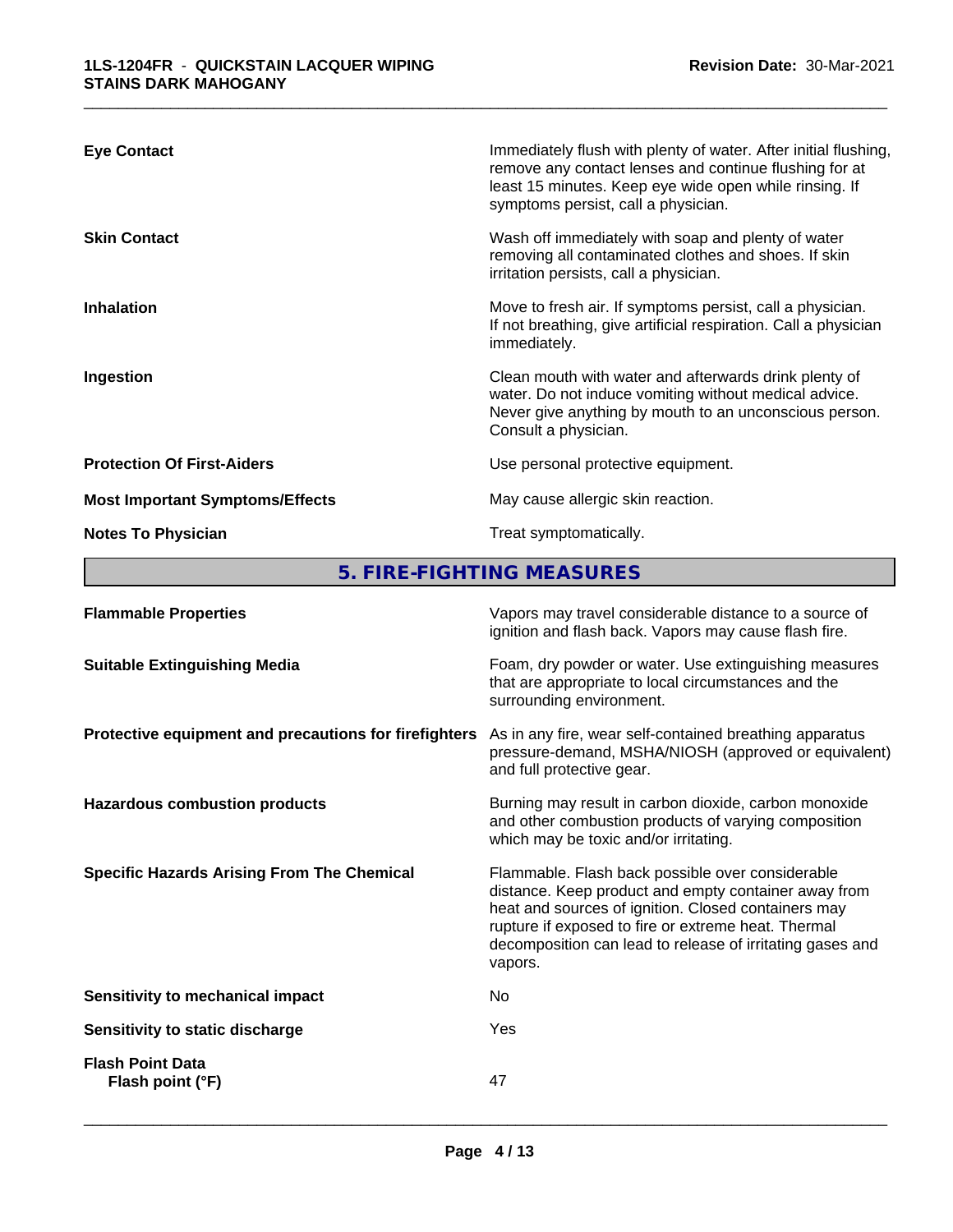| <b>Eye Contact</b>                     | Immediately flush with plenty of water. After initial flushing,<br>remove any contact lenses and continue flushing for at<br>least 15 minutes. Keep eye wide open while rinsing. If<br>symptoms persist, call a physician. |
|----------------------------------------|----------------------------------------------------------------------------------------------------------------------------------------------------------------------------------------------------------------------------|
| <b>Skin Contact</b>                    | Wash off immediately with soap and plenty of water<br>removing all contaminated clothes and shoes. If skin<br>irritation persists, call a physician.                                                                       |
| <b>Inhalation</b>                      | Move to fresh air. If symptoms persist, call a physician.<br>If not breathing, give artificial respiration. Call a physician<br>immediately.                                                                               |
| Ingestion                              | Clean mouth with water and afterwards drink plenty of<br>water. Do not induce vomiting without medical advice.<br>Never give anything by mouth to an unconscious person.<br>Consult a physician.                           |
| <b>Protection Of First-Aiders</b>      | Use personal protective equipment.                                                                                                                                                                                         |
| <b>Most Important Symptoms/Effects</b> | May cause allergic skin reaction.                                                                                                                                                                                          |
| <b>Notes To Physician</b>              | Treat symptomatically.                                                                                                                                                                                                     |

**5. FIRE-FIGHTING MEASURES**

| <b>Flammable Properties</b>                           | Vapors may travel considerable distance to a source of<br>ignition and flash back. Vapors may cause flash fire.                                                                                                                                                                                |
|-------------------------------------------------------|------------------------------------------------------------------------------------------------------------------------------------------------------------------------------------------------------------------------------------------------------------------------------------------------|
| <b>Suitable Extinguishing Media</b>                   | Foam, dry powder or water. Use extinguishing measures<br>that are appropriate to local circumstances and the<br>surrounding environment.                                                                                                                                                       |
| Protective equipment and precautions for firefighters | As in any fire, wear self-contained breathing apparatus<br>pressure-demand, MSHA/NIOSH (approved or equivalent)<br>and full protective gear.                                                                                                                                                   |
| <b>Hazardous combustion products</b>                  | Burning may result in carbon dioxide, carbon monoxide<br>and other combustion products of varying composition<br>which may be toxic and/or irritating.                                                                                                                                         |
| <b>Specific Hazards Arising From The Chemical</b>     | Flammable. Flash back possible over considerable<br>distance. Keep product and empty container away from<br>heat and sources of ignition. Closed containers may<br>rupture if exposed to fire or extreme heat. Thermal<br>decomposition can lead to release of irritating gases and<br>vapors. |
| Sensitivity to mechanical impact                      | No                                                                                                                                                                                                                                                                                             |
| Sensitivity to static discharge                       | <b>Yes</b>                                                                                                                                                                                                                                                                                     |
| <b>Flash Point Data</b><br>Flash point (°F)           | 47                                                                                                                                                                                                                                                                                             |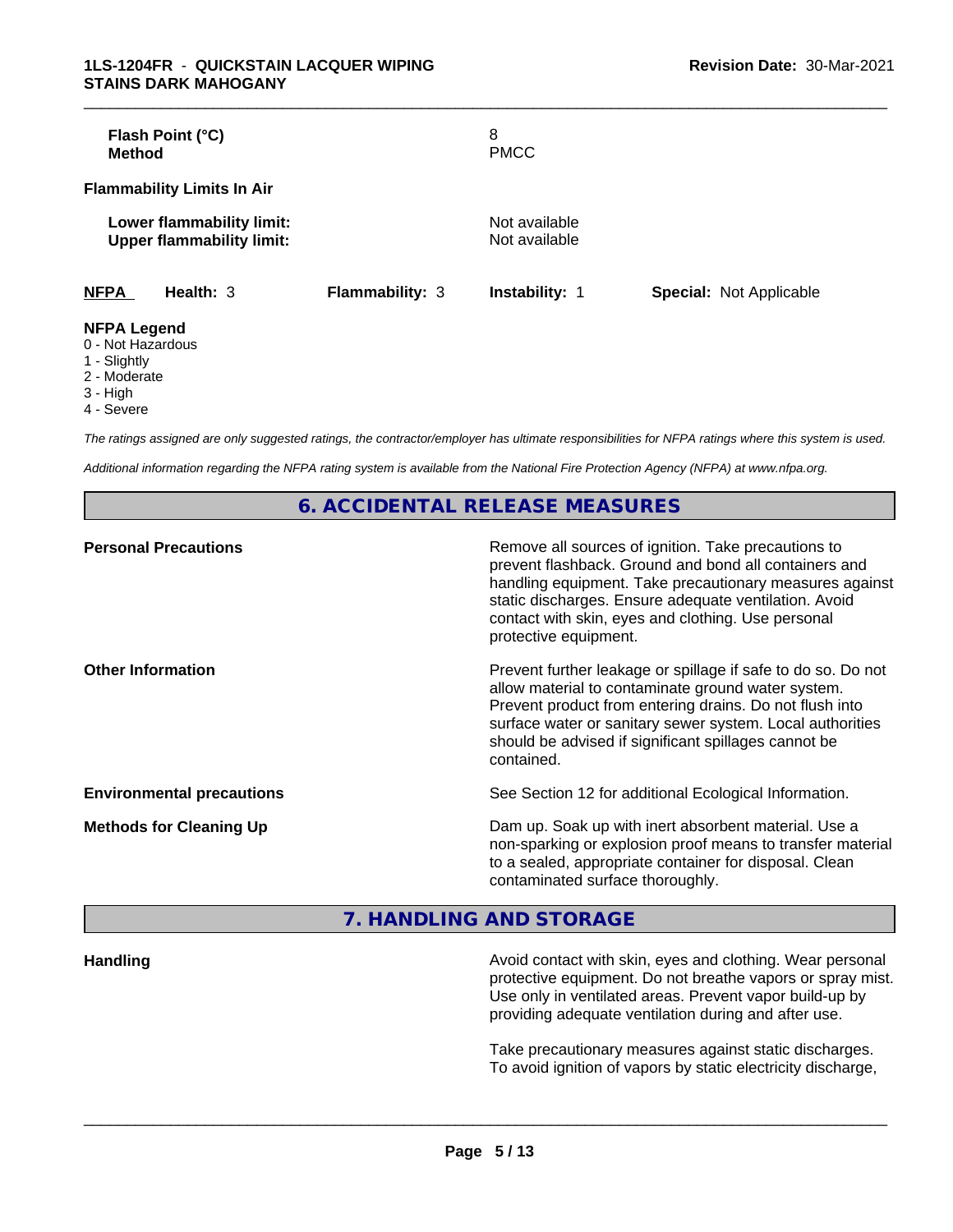| Flash Point (°C)<br><b>Method</b>                             |                        | 8<br><b>PMCC</b>               |                                |
|---------------------------------------------------------------|------------------------|--------------------------------|--------------------------------|
| <b>Flammability Limits In Air</b>                             |                        |                                |                                |
| Lower flammability limit:<br><b>Upper flammability limit:</b> |                        | Not available<br>Not available |                                |
| <b>NFPA</b><br>Health: $3$                                    | <b>Flammability: 3</b> | <b>Instability: 1</b>          | <b>Special: Not Applicable</b> |
| <b>NFPA Legend</b><br>0 - Not Hazardous                       |                        |                                |                                |

- 1 Slightly
- 2 Moderate
- 3 High
- 4 Severe

*The ratings assigned are only suggested ratings, the contractor/employer has ultimate responsibilities for NFPA ratings where this system is used.*

*Additional information regarding the NFPA rating system is available from the National Fire Protection Agency (NFPA) at www.nfpa.org.*

#### **6. ACCIDENTAL RELEASE MEASURES**

| <b>Personal Precautions</b>      | Remove all sources of ignition. Take precautions to<br>prevent flashback. Ground and bond all containers and<br>handling equipment. Take precautionary measures against<br>static discharges. Ensure adequate ventilation. Avoid<br>contact with skin, eyes and clothing. Use personal<br>protective equipment.  |
|----------------------------------|------------------------------------------------------------------------------------------------------------------------------------------------------------------------------------------------------------------------------------------------------------------------------------------------------------------|
| <b>Other Information</b>         | Prevent further leakage or spillage if safe to do so. Do not<br>allow material to contaminate ground water system.<br>Prevent product from entering drains. Do not flush into<br>surface water or sanitary sewer system. Local authorities<br>should be advised if significant spillages cannot be<br>contained. |
| <b>Environmental precautions</b> | See Section 12 for additional Ecological Information.                                                                                                                                                                                                                                                            |
| <b>Methods for Cleaning Up</b>   | Dam up. Soak up with inert absorbent material. Use a<br>non-sparking or explosion proof means to transfer material<br>to a sealed, appropriate container for disposal. Clean<br>contaminated surface thoroughly.                                                                                                 |

### **7. HANDLING AND STORAGE**

**Handling Handling Avoid contact with skin, eyes and clothing. Wear personal and results and clothing. Wear personal** protective equipment. Do not breathe vapors or spray mist. Use only in ventilated areas. Prevent vapor build-up by providing adequate ventilation during and after use.

> Take precautionary measures against static discharges. To avoid ignition of vapors by static electricity discharge,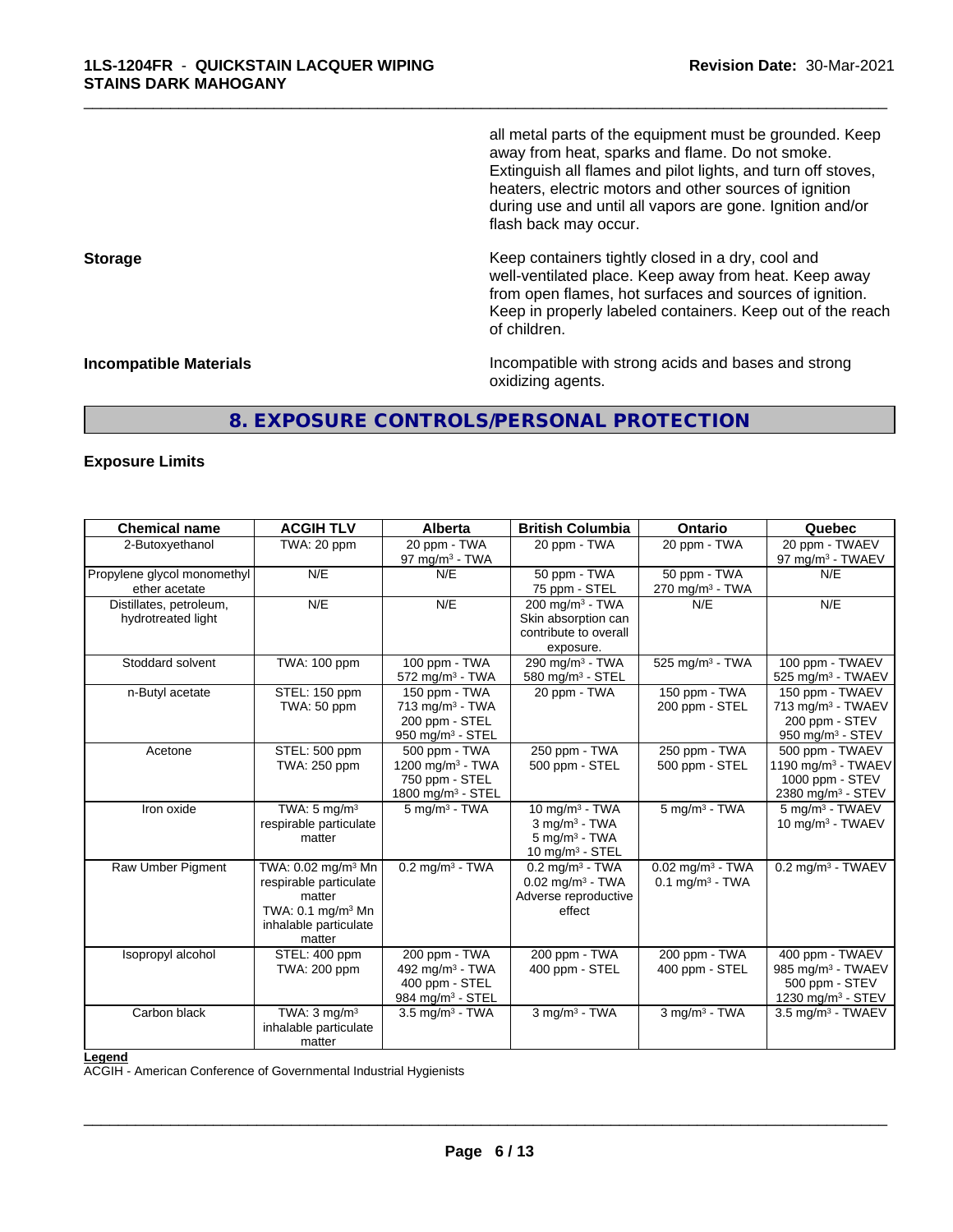all metal parts of the equipment must be grounded. Keep away from heat, sparks and flame. Do not smoke. Extinguish all flames and pilot lights, and turn off stoves, heaters, electric motors and other sources of ignition during use and until all vapors are gone. Ignition and/or flash back may occur.

\_\_\_\_\_\_\_\_\_\_\_\_\_\_\_\_\_\_\_\_\_\_\_\_\_\_\_\_\_\_\_\_\_\_\_\_\_\_\_\_\_\_\_\_\_\_\_\_\_\_\_\_\_\_\_\_\_\_\_\_\_\_\_\_\_\_\_\_\_\_\_\_\_\_\_\_\_\_\_\_\_\_\_\_\_\_\_\_\_\_\_\_\_

**Storage Keep containers tightly closed in a dry, cool and get a dry and storage Keep containers tightly closed in a dry, cool and** well-ventilated place. Keep away from heat. Keep away from open flames, hot surfaces and sources of ignition. Keep in properly labeled containers. Keep out of the reach of children.

**Incompatible Materials Incompatible with strong acids and bases and strong** oxidizing agents.

#### **8. EXPOSURE CONTROLS/PERSONAL PROTECTION**

#### **Exposure Limits**

| <b>Chemical name</b>                          | <b>ACGIH TLV</b>                                                                                                                      | <b>Alberta</b>                                                                                   | <b>British Columbia</b>                                                                           | <b>Ontario</b>                                                  | Quebec                                                                                                |
|-----------------------------------------------|---------------------------------------------------------------------------------------------------------------------------------------|--------------------------------------------------------------------------------------------------|---------------------------------------------------------------------------------------------------|-----------------------------------------------------------------|-------------------------------------------------------------------------------------------------------|
| 2-Butoxyethanol                               | TWA: 20 ppm                                                                                                                           | 20 ppm - TWA<br>97 mg/m $3$ - TWA                                                                | 20 ppm - TWA                                                                                      | 20 ppm - TWA                                                    | 20 ppm - TWAEV<br>97 mg/m <sup>3</sup> - TWAEV                                                        |
| Propylene glycol monomethyl<br>ether acetate  | N/E                                                                                                                                   | N/E                                                                                              | 50 ppm - TWA<br>75 ppm - STEL                                                                     | 50 ppm - TWA<br>270 mg/m <sup>3</sup> - TWA                     | N/E                                                                                                   |
| Distillates, petroleum,<br>hydrotreated light | N/E                                                                                                                                   | N/E                                                                                              | 200 mg/m <sup>3</sup> - TWA<br>Skin absorption can<br>contribute to overall<br>exposure.          | N/E                                                             | N/E                                                                                                   |
| Stoddard solvent                              | TWA: 100 ppm                                                                                                                          | $100$ ppm - TWA<br>$572$ mg/m <sup>3</sup> - TWA                                                 | 290 mg/m <sup>3</sup> - TWA<br>580 mg/m <sup>3</sup> - STEL                                       | 525 mg/m <sup>3</sup> - TWA                                     | 100 ppm - TWAEV<br>525 mg/m <sup>3</sup> - TWAEV                                                      |
| n-Butyl acetate                               | STEL: 150 ppm<br>TWA: 50 ppm                                                                                                          | 150 ppm - TWA<br>$713$ mg/m <sup>3</sup> - TWA<br>200 ppm - STEL<br>950 mg/m <sup>3</sup> - STEL | 20 ppm - TWA                                                                                      | 150 ppm - TWA<br>200 ppm - STEL                                 | 150 ppm - TWAEV<br>713 mg/m <sup>3</sup> - TWAEV<br>200 ppm - STEV<br>950 mg/m <sup>3</sup> - STEV    |
| Acetone                                       | STEL: 500 ppm<br>TWA: 250 ppm                                                                                                         | 500 ppm - TWA<br>1200 mg/m <sup>3</sup> - TWA<br>750 ppm - STEL<br>1800 mg/m <sup>3</sup> - STEL | 250 ppm - TWA<br>500 ppm - STEL                                                                   | 250 ppm - TWA<br>500 ppm - STEL                                 | 500 ppm - TWAEV<br>1190 mg/m <sup>3</sup> - TWAEV<br>1000 ppm - STEV<br>2380 mg/m <sup>3</sup> - STEV |
| Iron oxide                                    | TWA: $5 \text{ ma/m}^3$<br>respirable particulate<br>matter                                                                           | $5$ mg/m <sup>3</sup> - TWA                                                                      | 10 mg/m $3$ - TWA<br>$3$ mg/m $3$ - TWA<br>$5$ mg/m <sup>3</sup> - TWA<br>10 mg/m $3 -$ STEL      | $5 \text{ ma/m}^3$ - TWA                                        | 5 mg/m <sup>3</sup> - TWAEV<br>10 mg/m <sup>3</sup> - TWAEV                                           |
| Raw Umber Pigment                             | TWA: 0.02 mg/m <sup>3</sup> Mn<br>respirable particulate<br>matter<br>TWA: $0.1 \text{ mg/m}^3$ Mn<br>inhalable particulate<br>matter | $0.2$ mg/m <sup>3</sup> - TWA                                                                    | $0.2$ mg/m <sup>3</sup> - TWA<br>$0.02$ mg/m <sup>3</sup> - TWA<br>Adverse reproductive<br>effect | $0.02$ mg/m <sup>3</sup> - TWA<br>$0.1$ mg/m <sup>3</sup> - TWA | 0.2 mg/m <sup>3</sup> - TWAEV                                                                         |
| Isopropyl alcohol                             | STEL: 400 ppm<br>TWA: 200 ppm                                                                                                         | 200 ppm - TWA<br>492 mg/m <sup>3</sup> - TWA<br>400 ppm - STEL<br>984 mg/m <sup>3</sup> - STEL   | 200 ppm - TWA<br>400 ppm - STEL                                                                   | 200 ppm - TWA<br>400 ppm - STEL                                 | 400 ppm - TWAEV<br>985 mg/m <sup>3</sup> - TWAEV<br>500 ppm - STEV<br>1230 mg/m <sup>3</sup> - STEV   |
| Carbon black                                  | TWA: $3 \text{ mg/m}^3$<br>inhalable particulate<br>matter                                                                            | $3.5$ mg/m <sup>3</sup> - TWA                                                                    | $3$ mg/m $3$ - TWA                                                                                | $3$ mg/m $3$ - TWA                                              | $3.5$ mg/m <sup>3</sup> - TWAEV                                                                       |

#### **Legend**

ACGIH - American Conference of Governmental Industrial Hygienists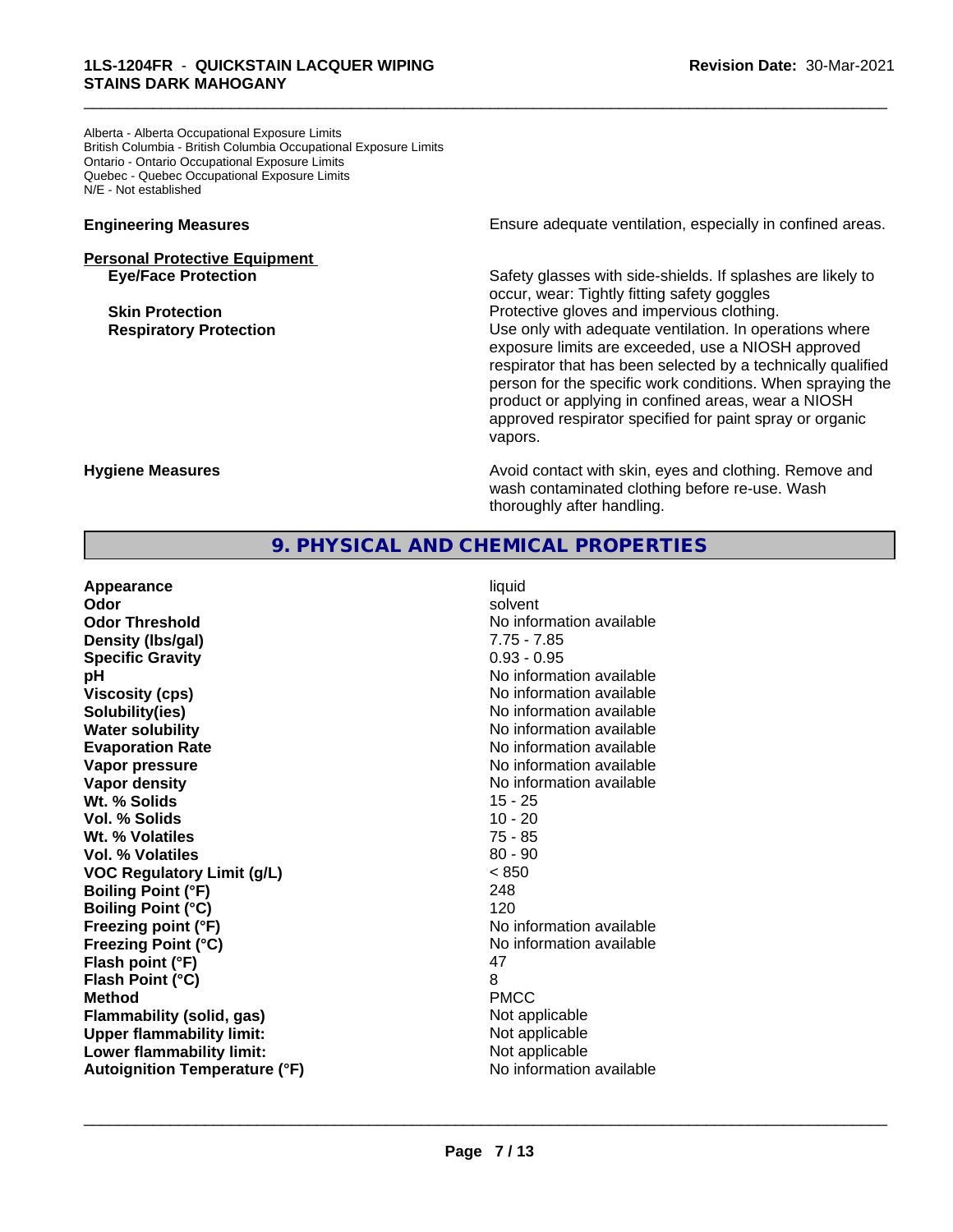Alberta - Alberta Occupational Exposure Limits British Columbia - British Columbia Occupational Exposure Limits Ontario - Ontario Occupational Exposure Limits Quebec - Quebec Occupational Exposure Limits N/E - Not established

## **Personal Protective Equipment**

**Engineering Measures Ensure** Ensure adequate ventilation, especially in confined areas.

\_\_\_\_\_\_\_\_\_\_\_\_\_\_\_\_\_\_\_\_\_\_\_\_\_\_\_\_\_\_\_\_\_\_\_\_\_\_\_\_\_\_\_\_\_\_\_\_\_\_\_\_\_\_\_\_\_\_\_\_\_\_\_\_\_\_\_\_\_\_\_\_\_\_\_\_\_\_\_\_\_\_\_\_\_\_\_\_\_\_\_\_\_

Safety glasses with side-shields. If splashes are likely to occur, wear: Tightly fitting safety goggles **Skin Protection Protection Protective gloves and impervious clothing. Respiratory Protection Number 1** (Use only with adequate ventilation. In operations where exposure limits are exceeded, use a NIOSH approved respirator that has been selected by a technically qualified person for the specific work conditions. When spraying the product or applying in confined areas, wear a NIOSH approved respirator specified for paint spray or organic vapors.

**Hygiene Measures Avoid contact with skin, eyes and clothing. Remove and Hygiene Measures Avoid contact with skin, eyes and clothing. Remove and** wash contaminated clothing before re-use. Wash thoroughly after handling.

#### **9. PHYSICAL AND CHEMICAL PROPERTIES**

| Appearance                           | liquid                   |
|--------------------------------------|--------------------------|
| Odor                                 | solvent                  |
| <b>Odor Threshold</b>                | No information available |
| Density (Ibs/gal)                    | $7.75 - 7.85$            |
| <b>Specific Gravity</b>              | $0.93 - 0.95$            |
| рH                                   | No information available |
| <b>Viscosity (cps)</b>               | No information available |
| Solubility(ies)                      | No information available |
| <b>Water solubility</b>              | No information available |
| <b>Evaporation Rate</b>              | No information available |
| Vapor pressure                       | No information available |
| Vapor density                        | No information available |
| Wt. % Solids                         | 15 - 25                  |
| Vol. % Solids                        | $10 - 20$                |
| Wt. % Volatiles                      | 75 - 85                  |
| Vol. % Volatiles                     | $80 - 90$                |
| <b>VOC Regulatory Limit (g/L)</b>    | < 850                    |
| <b>Boiling Point (°F)</b>            | 248                      |
| <b>Boiling Point (°C)</b>            | 120                      |
| Freezing point (°F)                  | No information available |
| <b>Freezing Point (°C)</b>           | No information available |
| Flash point (°F)                     | 47                       |
| Flash Point (°C)                     | 8                        |
| <b>Method</b>                        | <b>PMCC</b>              |
| <b>Flammability (solid, gas)</b>     | Not applicable           |
| <b>Upper flammability limit:</b>     | Not applicable           |
| Lower flammability limit:            | Not applicable           |
| <b>Autoignition Temperature (°F)</b> | No information available |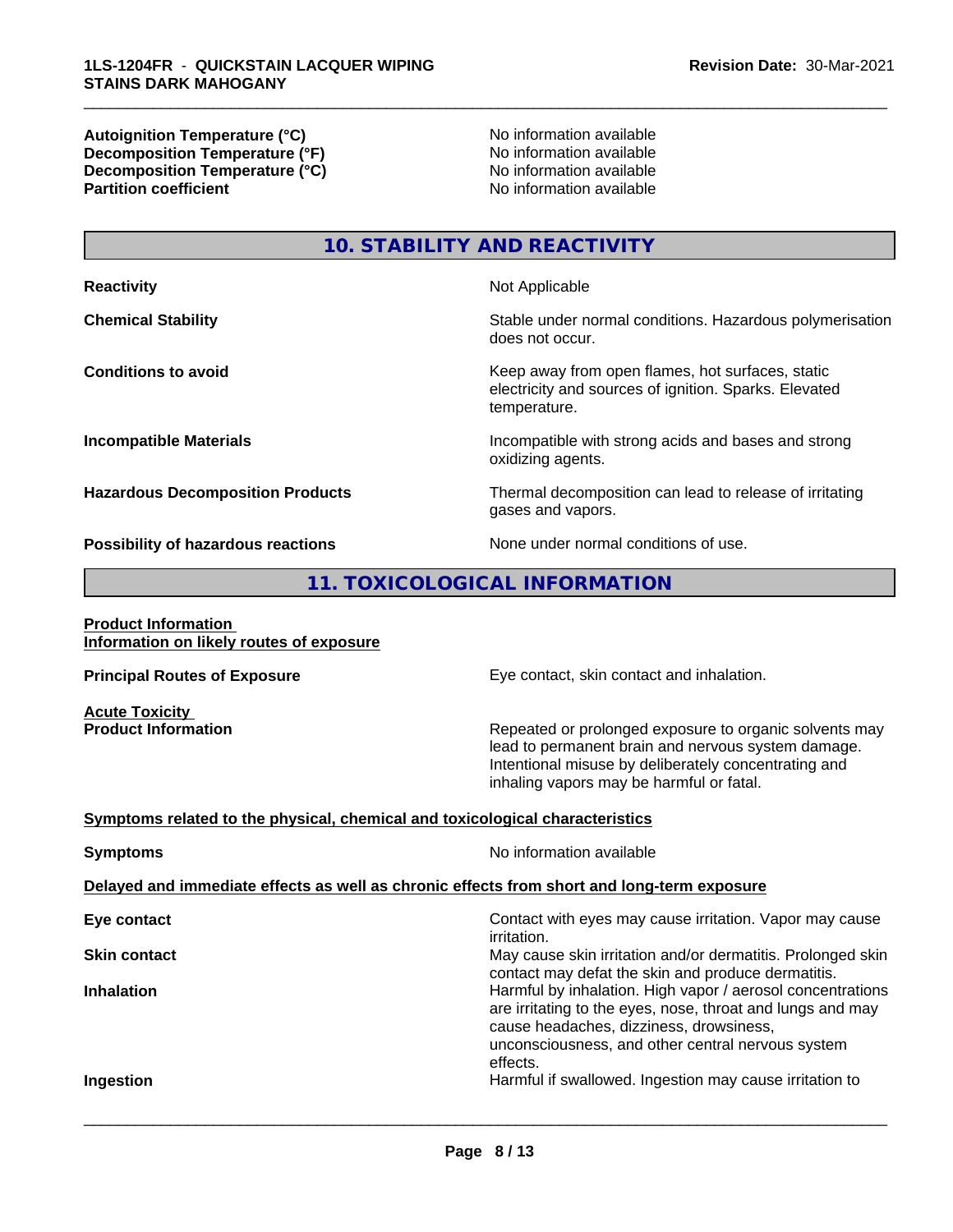**Autoignition Temperature (°C)**<br> **Decomposition Temperature (°F)** No information available **Decomposition Temperature (°F)**<br> **Decomposition Temperature (°C)** No information available<br>
No information available **Decomposition Temperature (°C) Partition coefficient** 

\_\_\_\_\_\_\_\_\_\_\_\_\_\_\_\_\_\_\_\_\_\_\_\_\_\_\_\_\_\_\_\_\_\_\_\_\_\_\_\_\_\_\_\_\_\_\_\_\_\_\_\_\_\_\_\_\_\_\_\_\_\_\_\_\_\_\_\_\_\_\_\_\_\_\_\_\_\_\_\_\_\_\_\_\_\_\_\_\_\_\_\_\_

**10. STABILITY AND REACTIVITY**

**Reactivity** Not Applicable **Chemical Stability Stability** Stable under normal conditions. Hazardous polymerisation does not occur. **Conditions to avoid Keep away from open flames, hot surfaces, static conditions to avoid** electricity and sources of ignition. Sparks. Elevated temperature. **Incompatible Materials Incompatible with strong acids and bases and strong** oxidizing agents. **Hazardous Decomposition Products** Thermal decomposition can lead to release of irritating gases and vapors. **Possibility of hazardous reactions** None under normal conditions of use.

#### **11. TOXICOLOGICAL INFORMATION**

#### **Product Information Information on likely routes of exposure**

**Acute Toxicity<br>Product Information** 

**Principal Routes of Exposure Exposure** Eye contact, skin contact and inhalation.

Repeated or prolonged exposure to organic solvents may lead to permanent brain and nervous system damage. Intentional misuse by deliberately concentrating and inhaling vapors may be harmful or fatal.

#### **<u>Symptoms related to the physical, chemical and toxicological characteristics</u>**

| <b>Symptoms</b>                                                                            | No information available                                                                                                                                                                                                             |  |  |  |  |
|--------------------------------------------------------------------------------------------|--------------------------------------------------------------------------------------------------------------------------------------------------------------------------------------------------------------------------------------|--|--|--|--|
| Delayed and immediate effects as well as chronic effects from short and long-term exposure |                                                                                                                                                                                                                                      |  |  |  |  |
| Eye contact                                                                                | Contact with eyes may cause irritation. Vapor may cause<br><i>irritation.</i>                                                                                                                                                        |  |  |  |  |
| <b>Skin contact</b>                                                                        | May cause skin irritation and/or dermatitis. Prolonged skin<br>contact may defat the skin and produce dermatitis.                                                                                                                    |  |  |  |  |
| <b>Inhalation</b>                                                                          | Harmful by inhalation. High vapor / aerosol concentrations<br>are irritating to the eyes, nose, throat and lungs and may<br>cause headaches, dizziness, drowsiness,<br>unconsciousness, and other central nervous system<br>effects. |  |  |  |  |
| Ingestion                                                                                  | Harmful if swallowed. Ingestion may cause irritation to                                                                                                                                                                              |  |  |  |  |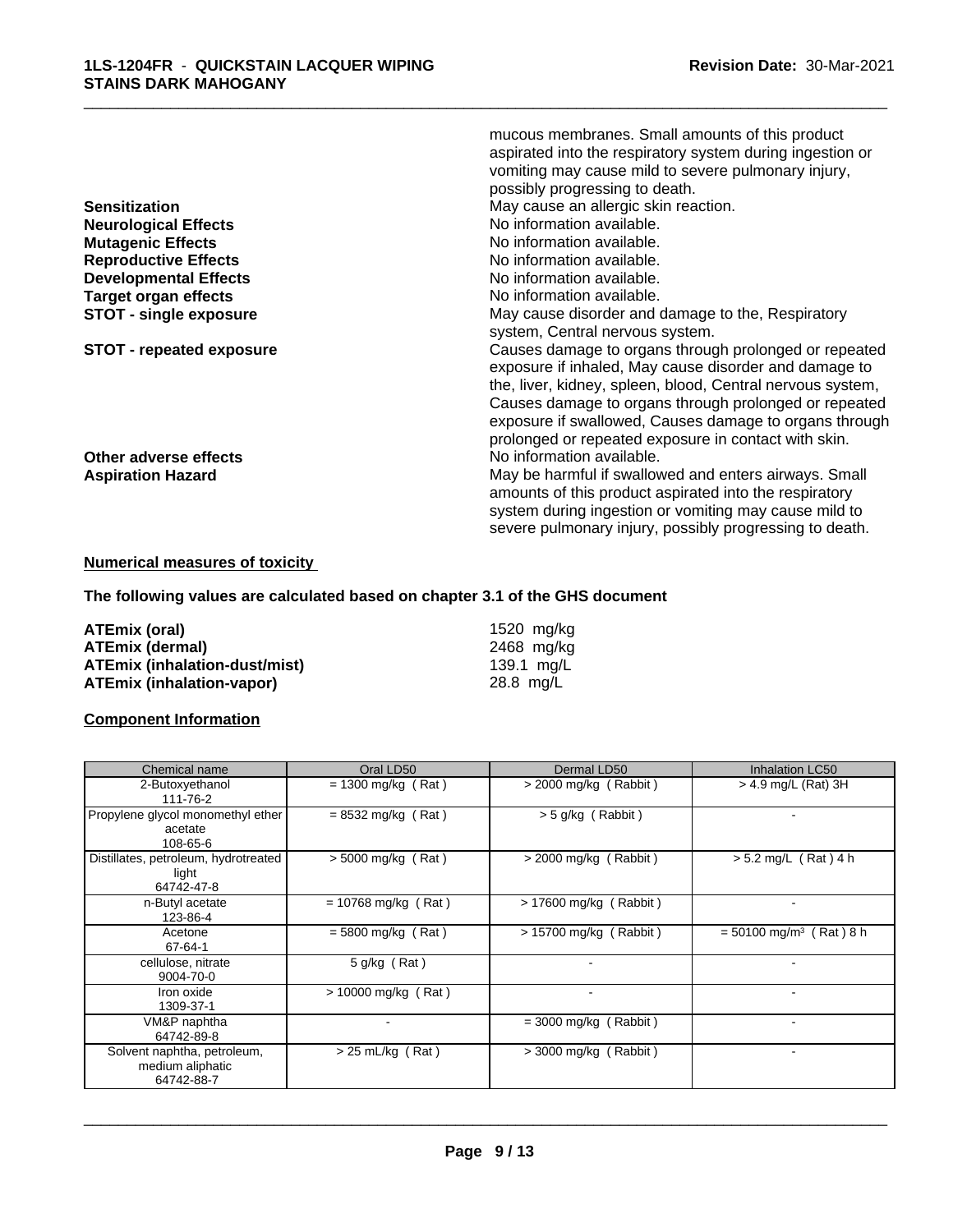|                                 | mucous membranes. Small amounts of this product            |
|---------------------------------|------------------------------------------------------------|
|                                 | aspirated into the respiratory system during ingestion or  |
|                                 | vomiting may cause mild to severe pulmonary injury,        |
|                                 | possibly progressing to death.                             |
| <b>Sensitization</b>            | May cause an allergic skin reaction.                       |
| <b>Neurological Effects</b>     | No information available.                                  |
| <b>Mutagenic Effects</b>        | No information available.                                  |
| <b>Reproductive Effects</b>     | No information available.                                  |
| <b>Developmental Effects</b>    | No information available.                                  |
| Target organ effects            | No information available.                                  |
| <b>STOT - single exposure</b>   | May cause disorder and damage to the, Respiratory          |
|                                 | system, Central nervous system.                            |
| <b>STOT - repeated exposure</b> | Causes damage to organs through prolonged or repeated      |
|                                 | exposure if inhaled, May cause disorder and damage to      |
|                                 | the, liver, kidney, spleen, blood, Central nervous system, |
|                                 | Causes damage to organs through prolonged or repeated      |
|                                 | exposure if swallowed, Causes damage to organs through     |
|                                 | prolonged or repeated exposure in contact with skin.       |
| Other adverse effects           | No information available.                                  |
| <b>Aspiration Hazard</b>        | May be harmful if swallowed and enters airways. Small      |
|                                 | amounts of this product aspirated into the respiratory     |
|                                 | system during ingestion or vomiting may cause mild to      |
|                                 | severe pulmonary injury, possibly progressing to death.    |
|                                 |                                                            |

#### **Numerical measures of toxicity**

**The following values are calculated based on chapter 3.1 of the GHS document**

| ATEmix (oral)                        | 1520 mg/ka |
|--------------------------------------|------------|
| <b>ATEmix (dermal)</b>               | 2468 mg/ka |
| <b>ATEmix (inhalation-dust/mist)</b> | 139.1 mg/L |
| ATEmix (inhalation-vapor)            | 28.8 mg/L  |

#### **Component Information**

| Chemical name                                                 | Oral LD50             | Dermal LD50              | Inhalation LC50                       |
|---------------------------------------------------------------|-----------------------|--------------------------|---------------------------------------|
| 2-Butoxyethanol<br>111-76-2                                   | $= 1300$ mg/kg (Rat)  | $>$ 2000 mg/kg (Rabbit)  | $>$ 4.9 mg/L (Rat) 3H                 |
| Propylene glycol monomethyl ether<br>acetate<br>108-65-6      | $= 8532$ mg/kg (Rat)  | $>$ 5 g/kg (Rabbit)      |                                       |
| Distillates, petroleum, hydrotreated<br>light<br>64742-47-8   | $> 5000$ mg/kg (Rat)  | $>$ 2000 mg/kg (Rabbit)  | $> 5.2$ mg/L (Rat) 4 h                |
| n-Butyl acetate<br>123-86-4                                   | $= 10768$ mg/kg (Rat) | $> 17600$ mg/kg (Rabbit) |                                       |
| Acetone<br>67-64-1                                            | $= 5800$ mg/kg (Rat)  | $> 15700$ mg/kg (Rabbit) | $= 50100$ mg/m <sup>3</sup> (Rat) 8 h |
| cellulose, nitrate<br>9004-70-0                               | 5 g/kg (Rat)          | $\overline{\phantom{a}}$ |                                       |
| Iron oxide<br>1309-37-1                                       | $> 10000$ mg/kg (Rat) | $\overline{\phantom{a}}$ |                                       |
| VM&P naphtha<br>64742-89-8                                    |                       | $=$ 3000 mg/kg (Rabbit)  |                                       |
| Solvent naphtha, petroleum,<br>medium aliphatic<br>64742-88-7 | $> 25$ mL/kg (Rat)    | $>$ 3000 mg/kg (Rabbit)  |                                       |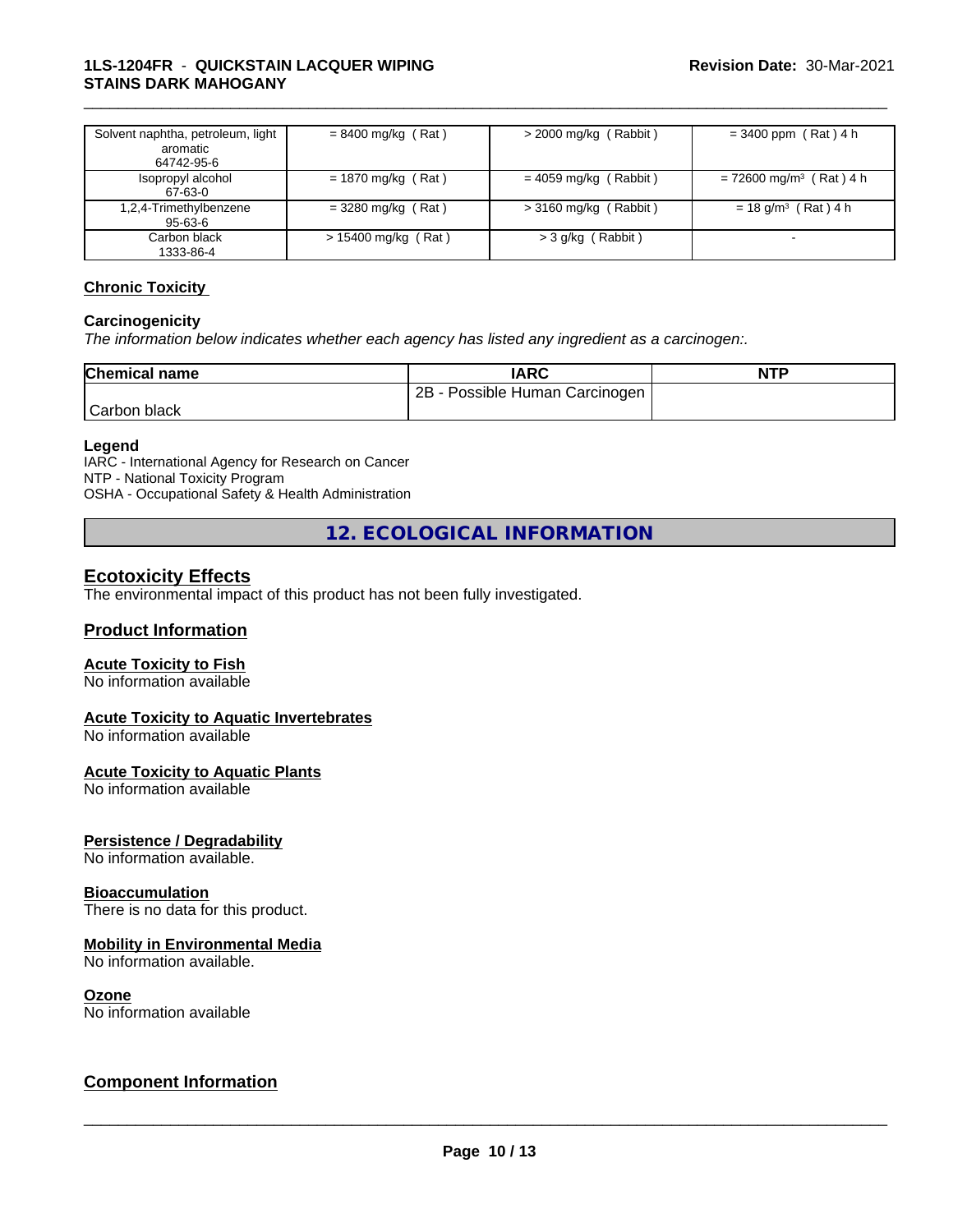#### **1LS-1204FR** - **QUICKSTAIN LACQUER WIPING STAINS DARK MAHOGANY**

| Solvent naphtha, petroleum, light<br>aromatic<br>64742-95-6 | $= 8400$ mg/kg (Rat) | $>$ 2000 mg/kg (Rabbit) | $= 3400$ ppm (Rat) 4 h                |
|-------------------------------------------------------------|----------------------|-------------------------|---------------------------------------|
| Isopropyl alcohol<br>67-63-0                                | $= 1870$ mg/kg (Rat) | $= 4059$ mg/kg (Rabbit) | $= 72600$ mg/m <sup>3</sup> (Rat) 4 h |
| 1,2,4-Trimethylbenzene<br>$95-63-6$                         | $=$ 3280 mg/kg (Rat) | $>$ 3160 mg/kg (Rabbit) | $= 18$ g/m <sup>3</sup> (Rat) 4 h     |
| Carbon black<br>1333-86-4                                   | > 15400 mg/kg (Rat)  | > 3 g/kg (Rabbit)       |                                       |

\_\_\_\_\_\_\_\_\_\_\_\_\_\_\_\_\_\_\_\_\_\_\_\_\_\_\_\_\_\_\_\_\_\_\_\_\_\_\_\_\_\_\_\_\_\_\_\_\_\_\_\_\_\_\_\_\_\_\_\_\_\_\_\_\_\_\_\_\_\_\_\_\_\_\_\_\_\_\_\_\_\_\_\_\_\_\_\_\_\_\_\_\_

#### **Chronic Toxicity**

#### **Carcinogenicity**

*The information below indicateswhether each agency has listed any ingredient as a carcinogen:.*

| <b>Chemical name</b> | <b>IARC</b>                     | <b>NTP</b> |
|----------------------|---------------------------------|------------|
|                      | 2Β<br>Possible Human Carcinogen |            |
| Carbon black         |                                 |            |

#### **Legend**

IARC - International Agency for Research on Cancer NTP - National Toxicity Program OSHA - Occupational Safety & Health Administration

**12. ECOLOGICAL INFORMATION**

#### **Ecotoxicity Effects**

The environmental impact of this product has not been fully investigated.

#### **Product Information**

#### **Acute Toxicity to Fish**

No information available

#### **Acute Toxicity to Aquatic Invertebrates**

No information available

#### **Acute Toxicity to Aquatic Plants**

No information available

#### **Persistence / Degradability**

No information available.

#### **Bioaccumulation**

There is no data for this product.

#### **Mobility in Environmental Media**

No information available.

#### **Ozone**

No information available

#### **Component Information**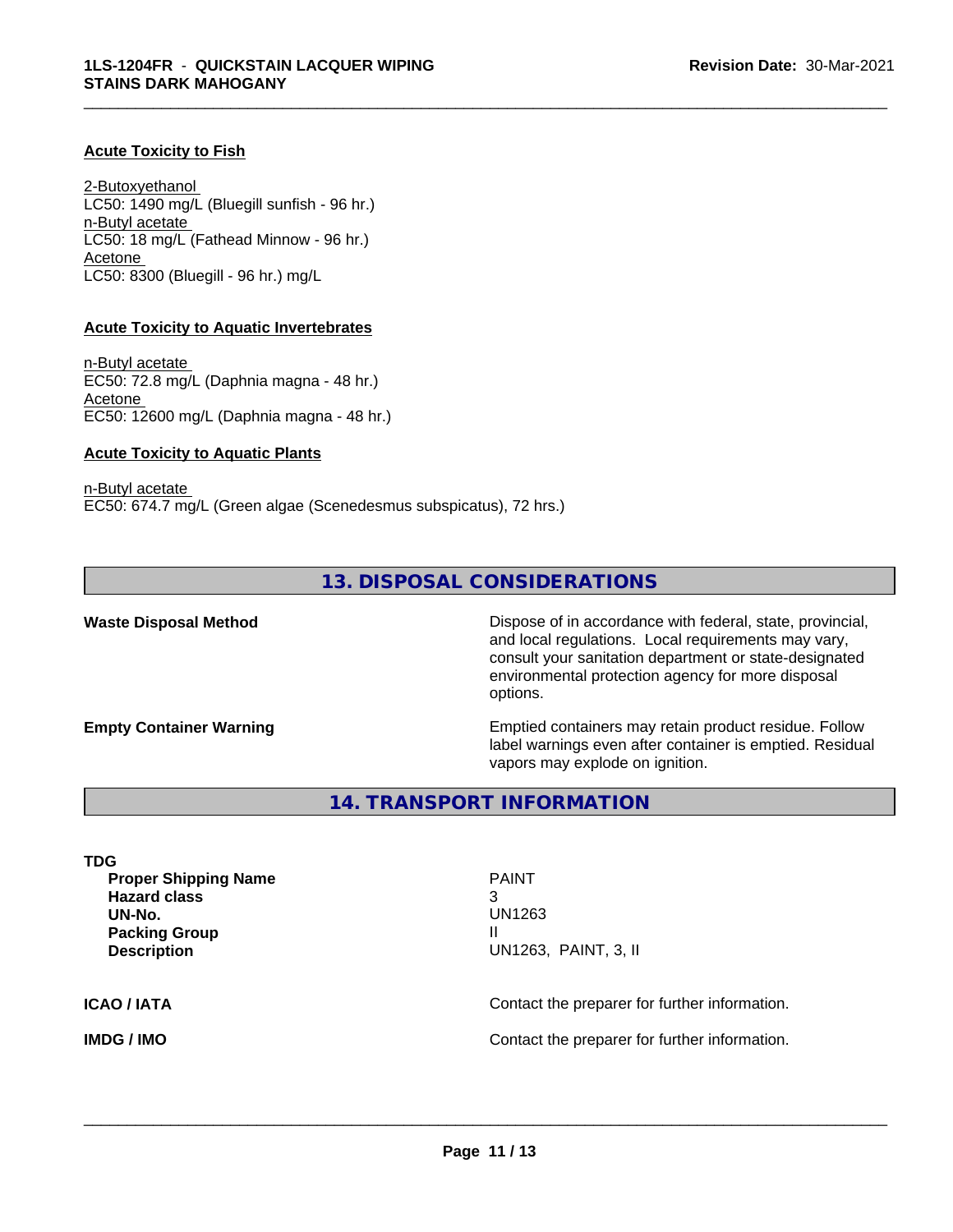#### **Acute Toxicity to Fish**

2-Butoxyethanol LC50: 1490 mg/L (Bluegill sunfish - 96 hr.) n-Butyl acetate LC50: 18 mg/L (Fathead Minnow - 96 hr.) Acetone LC50: 8300 (Bluegill - 96 hr.) mg/L

#### **Acute Toxicity to Aquatic Invertebrates**

n-Butyl acetate EC50: 72.8 mg/L (Daphnia magna - 48 hr.) Acetone EC50: 12600 mg/L (Daphnia magna - 48 hr.)

#### **Acute Toxicity to Aquatic Plants**

n-Butyl acetate EC50: 674.7 mg/L (Green algae (Scenedesmus subspicatus), 72 hrs.)

#### **13. DISPOSAL CONSIDERATIONS**

**Waste Disposal Method** Dispose of in accordance with federal, state, provincial, and local regulations. Local requirements may vary, consult your sanitation department or state-designated environmental protection agency for more disposal options.

**Empty Container Warning <b>Emptied** Containers may retain product residue. Follow label warnings even after container is emptied. Residual vapors may explode on ignition.

**14. TRANSPORT INFORMATION**

**TDG Proper Shipping Name** PAINT **Hazard class** 3 **UN-No.** UN1263 **Packing Group II III Description** UN1263, PAINT, 3, II

 $\overline{\phantom{a}}$  ,  $\overline{\phantom{a}}$  ,  $\overline{\phantom{a}}$  ,  $\overline{\phantom{a}}$  ,  $\overline{\phantom{a}}$  ,  $\overline{\phantom{a}}$  ,  $\overline{\phantom{a}}$  ,  $\overline{\phantom{a}}$  ,  $\overline{\phantom{a}}$  ,  $\overline{\phantom{a}}$  ,  $\overline{\phantom{a}}$  ,  $\overline{\phantom{a}}$  ,  $\overline{\phantom{a}}$  ,  $\overline{\phantom{a}}$  ,  $\overline{\phantom{a}}$  ,  $\overline{\phantom{a}}$ 

\_\_\_\_\_\_\_\_\_\_\_\_\_\_\_\_\_\_\_\_\_\_\_\_\_\_\_\_\_\_\_\_\_\_\_\_\_\_\_\_\_\_\_\_\_\_\_\_\_\_\_\_\_\_\_\_\_\_\_\_\_\_\_\_\_\_\_\_\_\_\_\_\_\_\_\_\_\_\_\_\_\_\_\_\_\_\_\_\_\_\_\_\_

**ICAO / IATA** Contact the preparer for further information.

**IMDG / IMO Contact the preparer for further information.**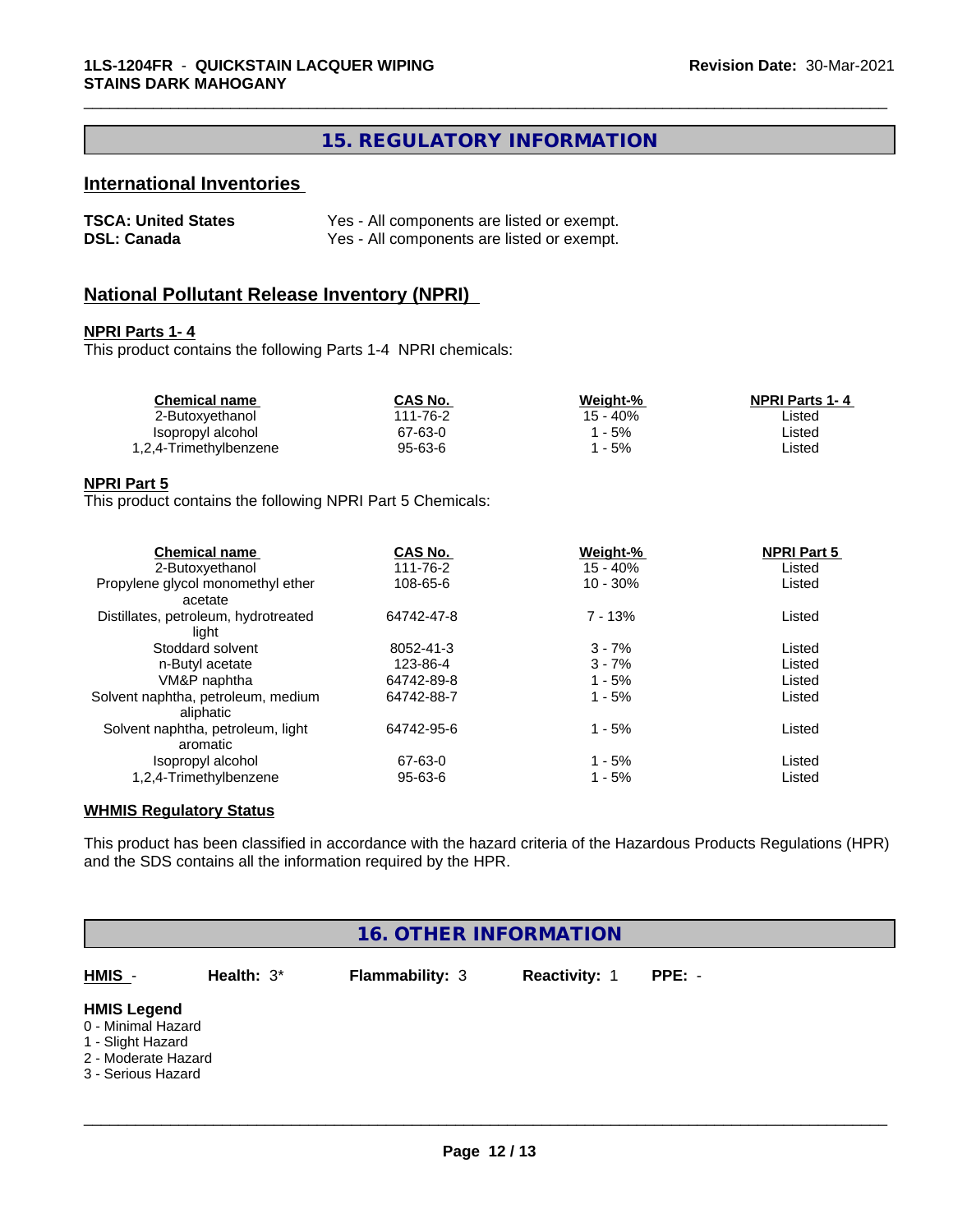### **15. REGULATORY INFORMATION**

\_\_\_\_\_\_\_\_\_\_\_\_\_\_\_\_\_\_\_\_\_\_\_\_\_\_\_\_\_\_\_\_\_\_\_\_\_\_\_\_\_\_\_\_\_\_\_\_\_\_\_\_\_\_\_\_\_\_\_\_\_\_\_\_\_\_\_\_\_\_\_\_\_\_\_\_\_\_\_\_\_\_\_\_\_\_\_\_\_\_\_\_\_

#### **International Inventories**

| <b>TSCA: United States</b> | Yes - All components are listed or exempt. |
|----------------------------|--------------------------------------------|
| <b>DSL: Canada</b>         | Yes - All components are listed or exempt. |

#### **National Pollutant Release Inventory (NPRI)**

#### **NPRI Parts 1- 4**

This product contains the following Parts 1-4 NPRI chemicals:

| <b>Chemical name</b>   | CAS No.  | Weight-% | <b>NPRI Parts 1-4</b> |  |
|------------------------|----------|----------|-----------------------|--|
| 2-Butoxvethanol        | 111-76-2 | 15 - 40% | ∟isted                |  |
| Isopropyl alcohol      | 67-63-0  | - 5%     | ∟isted                |  |
| 1,2,4-Trimethylbenzene | 95-63-6  | $-5%$    | Listed                |  |

#### **NPRI Part 5**

This product contains the following NPRI Part 5 Chemicals:

| <b>Chemical name</b>                 | <b>CAS No.</b> | Weight-%   | <b>NPRI Part 5</b> |  |
|--------------------------------------|----------------|------------|--------------------|--|
| 2-Butoxyethanol                      | 111-76-2       | $15 - 40%$ | Listed             |  |
| Propylene glycol monomethyl ether    | 108-65-6       | $10 - 30%$ | Listed             |  |
| acetate                              |                |            |                    |  |
| Distillates, petroleum, hydrotreated | 64742-47-8     | $7 - 13%$  | Listed             |  |
| light                                |                |            |                    |  |
| Stoddard solvent                     | 8052-41-3      | $3 - 7%$   | Listed             |  |
| n-Butyl acetate                      | 123-86-4       | $3 - 7%$   | Listed             |  |
| VM&P naphtha                         | 64742-89-8     | $1 - 5%$   | Listed             |  |
| Solvent naphtha, petroleum, medium   | 64742-88-7     | $1 - 5%$   | Listed             |  |
| aliphatic                            |                |            |                    |  |
| Solvent naphtha, petroleum, light    | 64742-95-6     | $1 - 5%$   | Listed             |  |
| aromatic                             |                |            |                    |  |
| Isopropyl alcohol                    | 67-63-0        | $1 - 5%$   | Listed             |  |
| 1,2,4-Trimethylbenzene               | 95-63-6        | $1 - 5%$   | Listed             |  |

#### **WHMIS Regulatory Status**

This product has been classified in accordance with the hazard criteria of the Hazardous Products Regulations (HPR) and the SDS contains all the information required by the HPR.

|                                                                                                            |               | <b>16. OTHER INFORMATION</b> |               |          |  |
|------------------------------------------------------------------------------------------------------------|---------------|------------------------------|---------------|----------|--|
| HMIS -                                                                                                     | Health: $3^*$ | <b>Flammability: 3</b>       | Reactivity: 1 | $PPE: -$ |  |
| <b>HMIS Legend</b><br>0 - Minimal Hazard<br>1 - Slight Hazard<br>2 - Moderate Hazard<br>3 - Serious Hazard |               |                              |               |          |  |